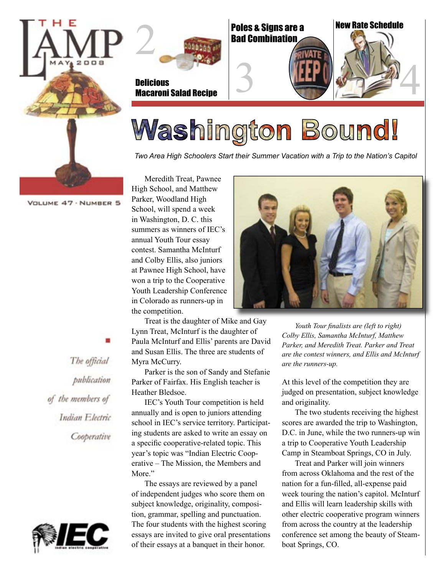



Poles & Signs are a Bad Combination



# 3 HPD 3 4 4

## Washington Bound!

*Two Area High Schoolers Start their Summer Vacation with a Trip to the Nation's Capitol*

VOLUME 47 . NUMBER 5

High School, and Matthew Parker, Woodland High School, will spend a week in Washington, D. C. this summers as winners of IEC's annual Youth Tour essay contest. Samantha McInturf and Colby Ellis, also juniors at Pawnee High School, have won a trip to the Cooperative Youth Leadership Conference in Colorado as runners-up in the competition.

Meredith Treat, Pawnee

Treat is the daughter of Mike and Gay Lynn Treat, McInturf is the daughter of Paula McInturf and Ellis' parents are David and Susan Ellis. The three are students of Myra McCurry.

Parker is the son of Sandy and Stefanie Parker of Fairfax. His English teacher is Heather Bledsoe.

IEC's Youth Tour competition is held annually and is open to juniors attending school in IEC's service territory. Participating students are asked to write an essay on a specific cooperative-related topic. This year's topic was "Indian Electric Cooperative – The Mission, the Members and More."

The essays are reviewed by a panel of independent judges who score them on subject knowledge, originality, composition, grammar, spelling and punctuation. The four students with the highest scoring essays are invited to give oral presentations of their essays at a banquet in their honor.



*Youth Tour finalists are (left to right) Colby Ellis, Samantha McInturf, Matthew Parker, and Meredith Treat. Parker and Treat are the contest winners, and Ellis and McInturf are the runners-up.*

At this level of the competition they are judged on presentation, subject knowledge and originality.

The two students receiving the highest scores are awarded the trip to Washington, D.C. in June, while the two runners-up win a trip to Cooperative Youth Leadership Camp in Steamboat Springs, CO in July.

Treat and Parker will join winners from across Oklahoma and the rest of the nation for a fun-filled, all-expense paid week touring the nation's capitol. McInturf and Ellis will learn leadership skills with other electric cooperative program winners from across the country at the leadership conference set among the beauty of Steamboat Springs, CO.

The official publication of the members of Indian Electric Cooperative

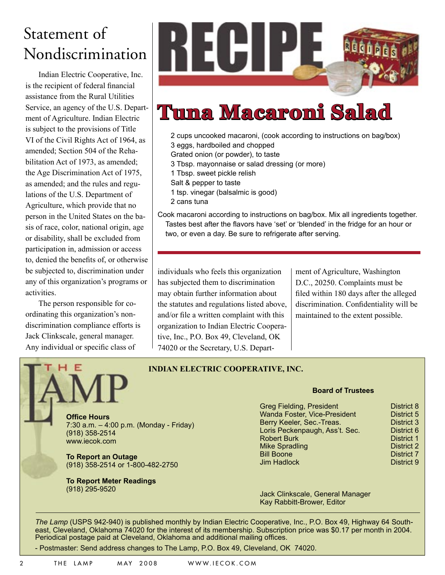#### Statement of Nondiscrimination

Indian Electric Cooperative, Inc. is the recipient of federal financial assistance from the Rural Utilities Service, an agency of the U.S. Department of Agriculture. Indian Electric is subject to the provisions of Title VI of the Civil Rights Act of 1964, as amended; Section 504 of the Rehabilitation Act of 1973, as amended; the Age Discrimination Act of 1975, as amended; and the rules and regulations of the U.S. Department of Agriculture, which provide that no person in the United States on the basis of race, color, national origin, age or disability, shall be excluded from participation in, admission or access to, denied the benefits of, or otherwise be subjected to, discrimination under any of this organization's programs or activities.

The person responsible for coordinating this organization's nondiscrimination compliance efforts is Jack Clinkscale, general manager. Any individual or specific class of



### **Tuna Macaroni Salad**

2 cups uncooked macaroni, (cook according to instructions on bag/box) 3 eggs, hardboiled and chopped

Grated onion (or powder), to taste

3 Tbsp. mayonnaise or salad dressing (or more)

- 1 Tbsp. sweet pickle relish
- Salt & pepper to taste
- 1 tsp. vinegar (balsalmic is good)
- 2 cans tuna

Cook macaroni according to instructions on bag/box. Mix all ingredients together. Tastes best after the flavors have 'set' or 'blended' in the fridge for an hour or two, or even a day. Be sure to refrigerate after serving.

individuals who feels this organization has subjected them to discrimination may obtain further information about the statutes and regulations listed above, and/or file a written complaint with this organization to Indian Electric Cooperative, Inc., P.O. Box 49, Cleveland, OK 74020 or the Secretary, U.S. Department of Agriculture, Washington D.C., 20250. Complaints must be filed within 180 days after the alleged discrimination. Confidentiality will be maintained to the extent possible.



**INDIAN ELECTRIC COOPERATIVE, INC.**

7:30 a.m. – 4:00 p.m. (Monday - Friday)

**To Report an Outage** (918) 358-2514 or 1-800-482-2750

**To Report Meter Readings**  (918) 295-9520

#### **Board of Trustees**

Greg Fielding, President **District 8**<br>
Wanda Foster, Vice-President **District 5** Wanda Foster, Vice-President Berry Keeler, Sec.-Treas. **District 3**<br> **Loris Peckenpaugh. Ass't. Sec.** District 6 Loris Peckenpaugh, Ass't. Sec. District 6<br>Robert Burk District 1 Robert Burk Mike Spradling and District 2<br>
District 2<br>
District 7 Bill Boone District 7<br>
Jim Hadlock District 9 **Jim Hadlock** 

Jack Clinkscale, General Manager Kay Rabbitt-Brower, Editor

*The Lamp* (USPS 942-940) is published monthly by Indian Electric Cooperative, Inc., P.O. Box 49, Highway 64 Southeast, Cleveland, Oklahoma 74020 for the interest of its membership. Subscription price was \$0.17 per month in 2004. Periodical postage paid at Cleveland, Oklahoma and additional mailing offices.

- Postmaster: Send address changes to The Lamp, P.O. Box 49, Cleveland, OK 74020.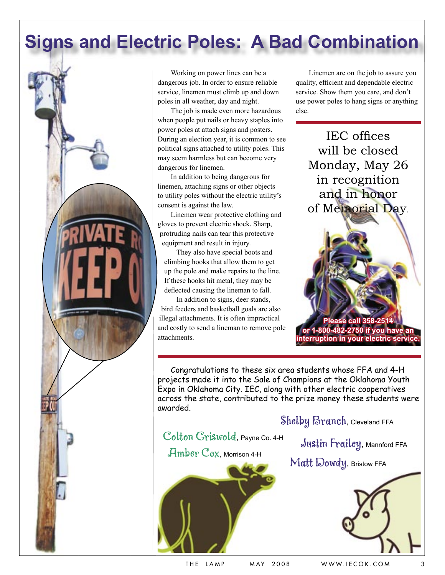#### **Signs and Electric Poles: A Bad Combination**



Working on power lines can be a dangerous job. In order to ensure reliable service, linemen must climb up and down poles in all weather, day and night.

The job is made even more hazardous when people put nails or heavy staples into power poles at attach signs and posters. During an election year, it is common to see political signs attached to utility poles. This may seem harmless but can become very dangerous for linemen.

In addition to being dangerous for linemen, attaching signs or other objects to utility poles without the electric utility's consent is against the law.

Linemen wear protective clothing and gloves to prevent electric shock. Sharp, protruding nails can tear this protective equipment and result in injury.

They also have special boots and climbing hooks that allow them to get up the pole and make repairs to the line. If these hooks hit metal, they may be deflected causing the lineman to fall.

In addition to signs, deer stands, bird feeders and basketball goals are also illegal attachments. It is often impractical and costly to send a lineman to remove pole attachments.

Linemen are on the job to assure you quality, efficient and dependable electric service. Show them you care, and don't use power poles to hang signs or anything else.

IEC offices will be closed Monday, May 26 in recognition and in honor of Memorial Day.

**Please call 358-2514 or 1-800-482-2750 if you have an interruption in your electric servi** 

Congratulations to these six area students whose FFA and 4-H projects made it into the Sale of Champions at the Oklahoma Youth Expo in Oklahoma City. IEC, along with other electric cooperatives across the state, contributed to the prize money these students were awarded.